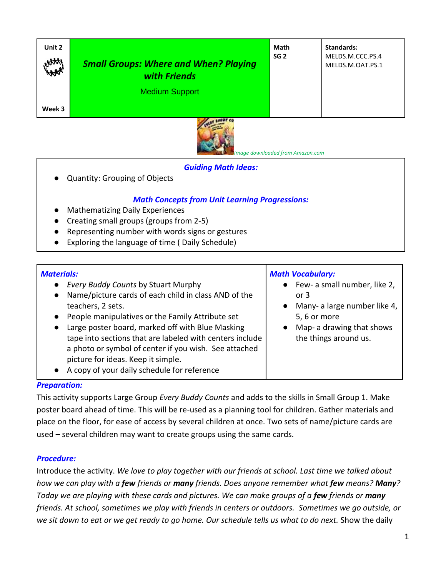| Unit 2<br>HAAA | <b>Small Groups: Where and When? Playing</b><br>with Friends         | Math<br>SG <sub>2</sub> | Standards:<br>MELDS.M.CCC.PS.4<br>MELDS.M.OAT.PS.1 |
|----------------|----------------------------------------------------------------------|-------------------------|----------------------------------------------------|
| Week 3         | <b>Medium Support</b><br><b>CONTINUES IN THE CONTINUES OF A REAL</b> |                         |                                                    |



 *Image downloaded from Amazon.com*

### *Guiding Math Ideas:*

Quantity: Grouping of Objects

### *Math Concepts from Unit Learning Progressions:*

- **Mathematizing Daily Experiences**
- Creating small groups (groups from 2-5)
- Representing number with words signs or gestures
- **Exploring the language of time ( Daily Schedule)**

### *Materials:*

| aterials:                                                                                                                                                                                                                                                                                                                                                                                                                                                    | <b>Math Vocabulary:</b>                                                                                                                        |  |
|--------------------------------------------------------------------------------------------------------------------------------------------------------------------------------------------------------------------------------------------------------------------------------------------------------------------------------------------------------------------------------------------------------------------------------------------------------------|------------------------------------------------------------------------------------------------------------------------------------------------|--|
| Every Buddy Counts by Stuart Murphy<br>Name/picture cards of each child in class AND of the<br>$\bullet$<br>teachers, 2 sets.<br>People manipulatives or the Family Attribute set<br>Large poster board, marked off with Blue Masking<br>$\bullet$<br>tape into sections that are labeled with centers include<br>a photo or symbol of center if you wish. See attached<br>picture for ideas. Keep it simple.<br>A copy of your daily schedule for reference | • Few- a small number, like 2,<br>or $3$<br>Many- a large number like 4,<br>5, 6 or more<br>Map- a drawing that shows<br>the things around us. |  |

#### *Preparation:*

This activity supports Large Group *Every Buddy Counts* and adds to the skills in Small Group 1. Make poster board ahead of time. This will be re-used as a planning tool for children. Gather materials and place on the floor, for ease of access by several children at once. Two sets of name/picture cards are used – several children may want to create groups using the same cards.

#### *Procedure:*

Introduce the activity. *We love to play together with our friends at school. Last time we talked about how we can play with a few friends or many friends. Does anyone remember what few means? Many? Today we are playing with these cards and pictures. We can make groups of a few friends or many friends. At school, sometimes we play with friends in centers or outdoors. Sometimes we go outside, or we sit down to eat or we get ready to go home. Our schedule tells us what to do next.* Show the daily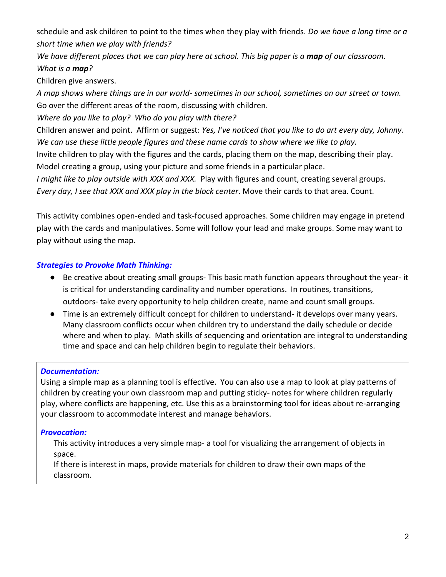schedule and ask children to point to the times when they play with friends. *Do we have a long time or a short time when we play with friends?*

*We have different places that we can play here at school. This big paper is a map of our classroom. What is a map?*

Children give answers.

*A map shows where things are in our world- sometimes in our school, sometimes on our street or town.* Go over the different areas of the room, discussing with children.

*Where do you like to play? Who do you play with there?*

Children answer and point. Affirm or suggest: *Yes, I've noticed that you like to do art every day, Johnny. We can use these little people figures and these name cards to show where we like to play.*

Invite children to play with the figures and the cards, placing them on the map, describing their play. Model creating a group, using your picture and some friends in a particular place.

*I might like to play outside with XXX and XXX.* Play with figures and count, creating several groups. *Every day, I see that XXX and XXX play in the block center*. Move their cards to that area. Count.

This activity combines open-ended and task-focused approaches. Some children may engage in pretend play with the cards and manipulatives. Some will follow your lead and make groups. Some may want to play without using the map.

# *Strategies to Provoke Math Thinking:*

- Be creative about creating small groups- This basic math function appears throughout the year- it is critical for understanding cardinality and number operations. In routines, transitions, outdoors- take every opportunity to help children create, name and count small groups.
- Time is an extremely difficult concept for children to understand- it develops over many years. Many classroom conflicts occur when children try to understand the daily schedule or decide where and when to play. Math skills of sequencing and orientation are integral to understanding time and space and can help children begin to regulate their behaviors.

# *Documentation:*

Using a simple map as a planning tool is effective. You can also use a map to look at play patterns of children by creating your own classroom map and putting sticky- notes for where children regularly play, where conflicts are happening, etc. Use this as a brainstorming tool for ideas about re-arranging your classroom to accommodate interest and manage behaviors.

# *Provocation:*

This activity introduces a very simple map- a tool for visualizing the arrangement of objects in space.

If there is interest in maps, provide materials for children to draw their own maps of the classroom.